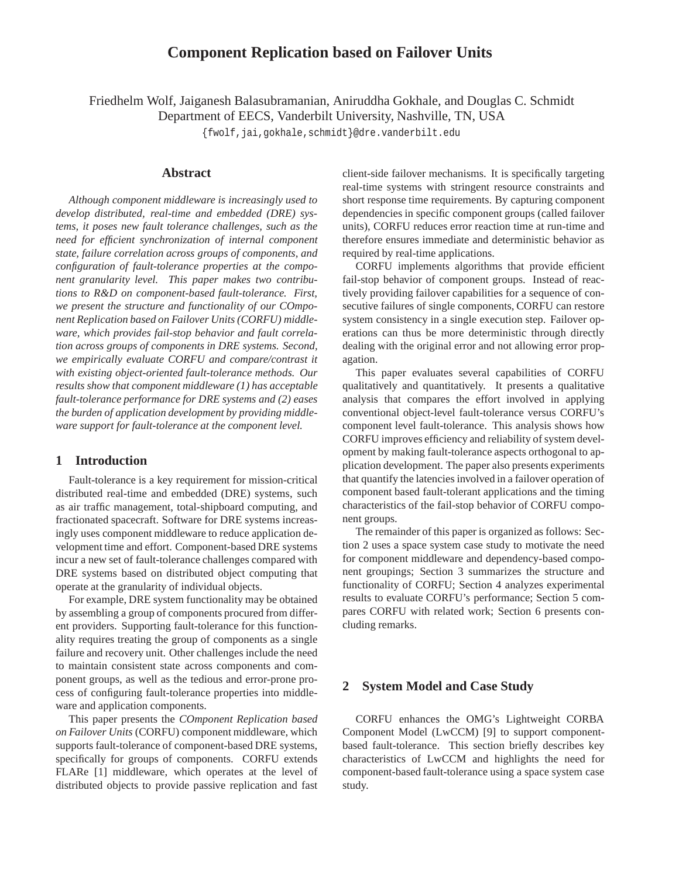# **Component Replication based on Failover Units**

Friedhelm Wolf, Jaiganesh Balasubramanian, Aniruddha Gokhale, and Douglas C. Schmidt Department of EECS, Vanderbilt University, Nashville, TN, USA

{fwolf,jai,gokhale,schmidt}@dre.vanderbilt.edu

## **Abstract**

*Although component middleware is increasingly used to develop distributed, real-time and embedded (DRE) systems, it poses new fault tolerance challenges, such as the need for efficient synchronization of internal component state, failure correlation across groups of components, and configuration of fault-tolerance properties at the component granularity level. This paper makes two contributions to R&D on component-based fault-tolerance. First, we present the structure and functionality of our COmponent Replication based on Failover Units (CORFU) middleware, which provides fail-stop behavior and fault correlation across groups of components in DRE systems. Second, we empirically evaluate CORFU and compare/contrast it with existing object-oriented fault-tolerance methods. Our results show that component middleware (1) has acceptable fault-tolerance performance for DRE systems and (2) eases the burden of application development by providing middleware support for fault-tolerance at the component level.*

# **1 Introduction**

Fault-tolerance is a key requirement for mission-critical distributed real-time and embedded (DRE) systems, such as air traffic management, total-shipboard computing, and fractionated spacecraft. Software for DRE systems increasingly uses component middleware to reduce application development time and effort. Component-based DRE systems incur a new set of fault-tolerance challenges compared with DRE systems based on distributed object computing that operate at the granularity of individual objects.

For example, DRE system functionality may be obtained by assembling a group of components procured from different providers. Supporting fault-tolerance for this functionality requires treating the group of components as a single failure and recovery unit. Other challenges include the need to maintain consistent state across components and component groups, as well as the tedious and error-prone process of configuring fault-tolerance properties into middleware and application components.

This paper presents the *COmponent Replication based on Failover Units* (CORFU) component middleware, which supports fault-tolerance of component-based DRE systems, specifically for groups of components. CORFU extends FLARe [1] middleware, which operates at the level of distributed objects to provide passive replication and fast

client-side failover mechanisms. It is specifically targeting real-time systems with stringent resource constraints and short response time requirements. By capturing component dependencies in specific component groups (called failover units), CORFU reduces error reaction time at run-time and therefore ensures immediate and deterministic behavior as required by real-time applications.

CORFU implements algorithms that provide efficient fail-stop behavior of component groups. Instead of reactively providing failover capabilities for a sequence of consecutive failures of single components, CORFU can restore system consistency in a single execution step. Failover operations can thus be more deterministic through directly dealing with the original error and not allowing error propagation.

This paper evaluates several capabilities of CORFU qualitatively and quantitatively. It presents a qualitative analysis that compares the effort involved in applying conventional object-level fault-tolerance versus CORFU's component level fault-tolerance. This analysis shows how CORFU improves efficiency and reliability of system development by making fault-tolerance aspects orthogonal to application development. The paper also presents experiments that quantify the latencies involved in a failover operation of component based fault-tolerant applications and the timing characteristics of the fail-stop behavior of CORFU component groups.

The remainder of this paper is organized as follows: Section 2 uses a space system case study to motivate the need for component middleware and dependency-based component groupings; Section 3 summarizes the structure and functionality of CORFU; Section 4 analyzes experimental results to evaluate CORFU's performance; Section 5 compares CORFU with related work; Section 6 presents concluding remarks.

# **2 System Model and Case Study**

CORFU enhances the OMG's Lightweight CORBA Component Model (LwCCM) [9] to support componentbased fault-tolerance. This section briefly describes key characteristics of LwCCM and highlights the need for component-based fault-tolerance using a space system case study.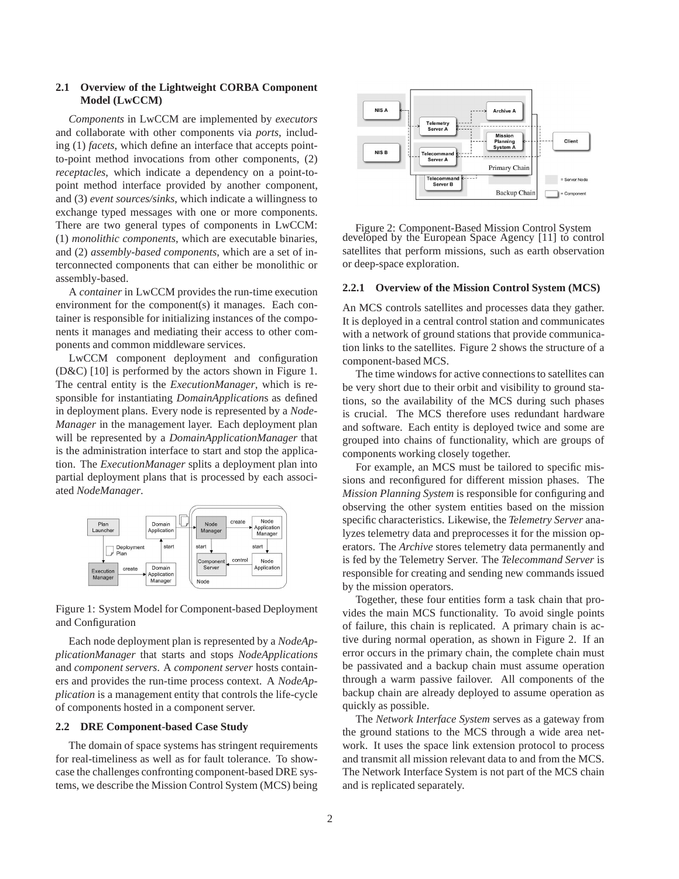# **2.1 Overview of the Lightweight CORBA Component Model (LwCCM)**

*Components* in LwCCM are implemented by *executors* and collaborate with other components via *ports*, including (1) *facets*, which define an interface that accepts pointto-point method invocations from other components, (2) *receptacles*, which indicate a dependency on a point-topoint method interface provided by another component, and (3) *event sources/sinks*, which indicate a willingness to exchange typed messages with one or more components. There are two general types of components in LwCCM: (1) *monolithic components*, which are executable binaries, and (2) *assembly-based components*, which are a set of interconnected components that can either be monolithic or assembly-based.

A *container* in LwCCM provides the run-time execution environment for the component(s) it manages. Each container is responsible for initializing instances of the components it manages and mediating their access to other components and common middleware services.

LwCCM component deployment and configuration (D&C) [10] is performed by the actors shown in Figure 1. The central entity is the *ExecutionManager*, which is responsible for instantiating *DomainApplication*s as defined in deployment plans. Every node is represented by a *Node-Manager* in the management layer. Each deployment plan will be represented by a *DomainApplicationManager* that is the administration interface to start and stop the application. The *ExecutionManager* splits a deployment plan into partial deployment plans that is processed by each associated *NodeManager*.



Figure 1: System Model for Component-based Deployment and Configuration

Each node deployment plan is represented by a *NodeApplicationManager* that starts and stops *NodeApplications* and *component servers*. A *component server* hosts containers and provides the run-time process context. A *NodeApplication* is a management entity that controls the life-cycle of components hosted in a component server.

#### **2.2 DRE Component-based Case Study**

The domain of space systems has stringent requirements for real-timeliness as well as for fault tolerance. To showcase the challenges confronting component-based DRE systems, we describe the Mission Control System (MCS) being



Figure 2: Component-Based Mission Control System developed by the European Space Agency [11] to control satellites that perform missions, such as earth observation or deep-space exploration.

#### **2.2.1 Overview of the Mission Control System (MCS)**

An MCS controls satellites and processes data they gather. It is deployed in a central control station and communicates with a network of ground stations that provide communication links to the satellites. Figure 2 shows the structure of a component-based MCS.

The time windows for active connections to satellites can be very short due to their orbit and visibility to ground stations, so the availability of the MCS during such phases is crucial. The MCS therefore uses redundant hardware and software. Each entity is deployed twice and some are grouped into chains of functionality, which are groups of components working closely together.

For example, an MCS must be tailored to specific missions and reconfigured for different mission phases. The *Mission Planning System* is responsible for configuring and observing the other system entities based on the mission specific characteristics. Likewise, the *Telemetry Server* analyzes telemetry data and preprocesses it for the mission operators. The *Archive* stores telemetry data permanently and is fed by the Telemetry Server. The *Telecommand Server* is responsible for creating and sending new commands issued by the mission operators.

Together, these four entities form a task chain that provides the main MCS functionality. To avoid single points of failure, this chain is replicated. A primary chain is active during normal operation, as shown in Figure 2. If an error occurs in the primary chain, the complete chain must be passivated and a backup chain must assume operation through a warm passive failover. All components of the backup chain are already deployed to assume operation as quickly as possible.

The *Network Interface System* serves as a gateway from the ground stations to the MCS through a wide area network. It uses the space link extension protocol to process and transmit all mission relevant data to and from the MCS. The Network Interface System is not part of the MCS chain and is replicated separately.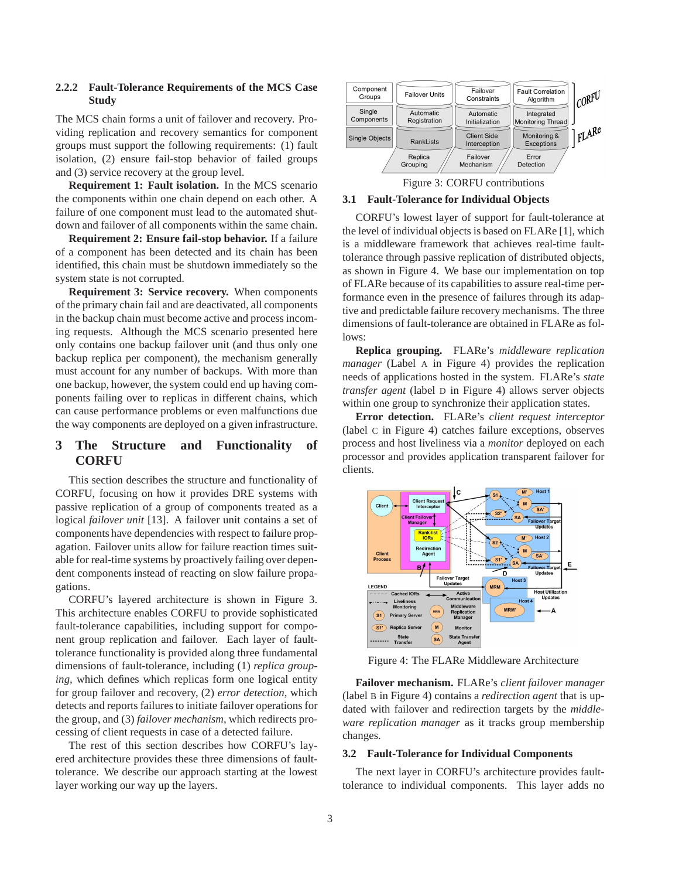### **2.2.2 Fault-Tolerance Requirements of the MCS Case Study**

The MCS chain forms a unit of failover and recovery. Providing replication and recovery semantics for component groups must support the following requirements: (1) fault isolation, (2) ensure fail-stop behavior of failed groups and (3) service recovery at the group level.

**Requirement 1: Fault isolation.** In the MCS scenario the components within one chain depend on each other. A failure of one component must lead to the automated shutdown and failover of all components within the same chain.

**Requirement 2: Ensure fail-stop behavior.** If a failure of a component has been detected and its chain has been identified, this chain must be shutdown immediately so the system state is not corrupted.

**Requirement 3: Service recovery.** When components of the primary chain fail and are deactivated, all components in the backup chain must become active and process incoming requests. Although the MCS scenario presented here only contains one backup failover unit (and thus only one backup replica per component), the mechanism generally must account for any number of backups. With more than one backup, however, the system could end up having components failing over to replicas in different chains, which can cause performance problems or even malfunctions due the way components are deployed on a given infrastructure.

# **3 The Structure and Functionality of CORFU**

This section describes the structure and functionality of CORFU, focusing on how it provides DRE systems with passive replication of a group of components treated as a logical *failover unit* [13]. A failover unit contains a set of components have dependencies with respect to failure propagation. Failover units allow for failure reaction times suitable for real-time systems by proactively failing over dependent components instead of reacting on slow failure propagations.

CORFU's layered architecture is shown in Figure 3. This architecture enables CORFU to provide sophisticated fault-tolerance capabilities, including support for component group replication and failover. Each layer of faulttolerance functionality is provided along three fundamental dimensions of fault-tolerance, including (1) *replica grouping,* which defines which replicas form one logical entity for group failover and recovery, (2) *error detection,* which detects and reports failures to initiate failover operations for the group, and (3) *failover mechanism*, which redirects processing of client requests in case of a detected failure.

The rest of this section describes how CORFU's layered architecture provides these three dimensions of faulttolerance. We describe our approach starting at the lowest layer working our way up the layers.



**3.1 Fault-Tolerance for Individual Objects**

CORFU's lowest layer of support for fault-tolerance at the level of individual objects is based on FLARe [1], which is a middleware framework that achieves real-time faulttolerance through passive replication of distributed objects, as shown in Figure 4. We base our implementation on top of FLARe because of its capabilities to assure real-time performance even in the presence of failures through its adaptive and predictable failure recovery mechanisms. The three dimensions of fault-tolerance are obtained in FLARe as follows:

**Replica grouping.** FLARe's *middleware replication manager* (Label A in Figure 4) provides the replication needs of applications hosted in the system. FLARe's *state transfer agent* (label D in Figure 4) allows server objects within one group to synchronize their application states.

**Error detection.** FLARe's *client request interceptor* (label C in Figure 4) catches failure exceptions, observes process and host liveliness via a *monitor* deployed on each processor and provides application transparent failover for clients.



Figure 4: The FLARe Middleware Architecture

**Failover mechanism.** FLARe's *client failover manager* (label B in Figure 4) contains a *redirection agent* that is updated with failover and redirection targets by the *middleware replication manager* as it tracks group membership changes.

#### **3.2 Fault-Tolerance for Individual Components**

The next layer in CORFU's architecture provides faulttolerance to individual components. This layer adds no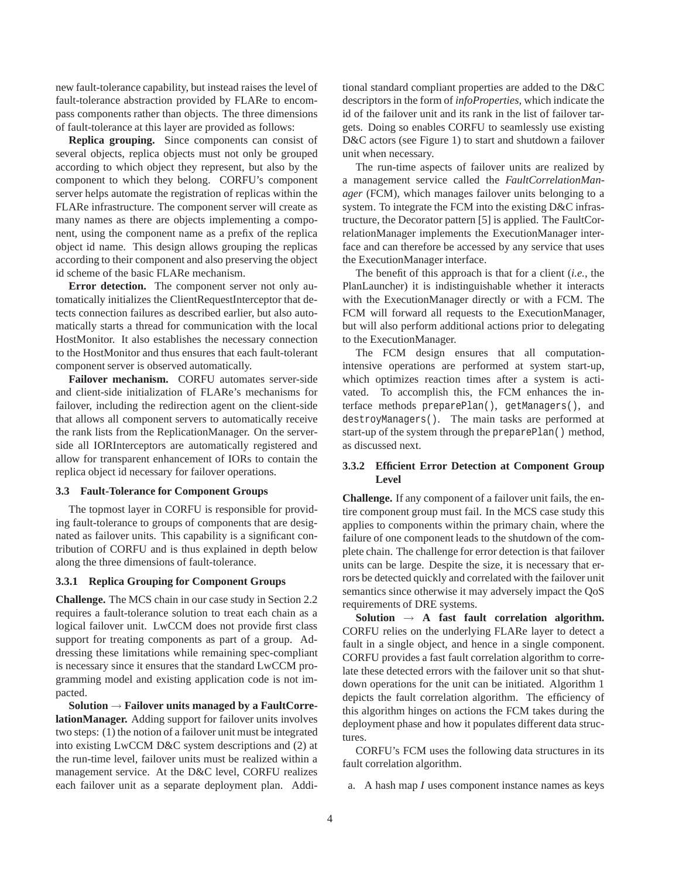new fault-tolerance capability, but instead raises the level of fault-tolerance abstraction provided by FLARe to encompass components rather than objects. The three dimensions of fault-tolerance at this layer are provided as follows:

**Replica grouping.** Since components can consist of several objects, replica objects must not only be grouped according to which object they represent, but also by the component to which they belong. CORFU's component server helps automate the registration of replicas within the FLARe infrastructure. The component server will create as many names as there are objects implementing a component, using the component name as a prefix of the replica object id name. This design allows grouping the replicas according to their component and also preserving the object id scheme of the basic FLARe mechanism.

**Error detection.** The component server not only automatically initializes the ClientRequestInterceptor that detects connection failures as described earlier, but also automatically starts a thread for communication with the local HostMonitor. It also establishes the necessary connection to the HostMonitor and thus ensures that each fault-tolerant component server is observed automatically.

**Failover mechanism.** CORFU automates server-side and client-side initialization of FLARe's mechanisms for failover, including the redirection agent on the client-side that allows all component servers to automatically receive the rank lists from the ReplicationManager. On the serverside all IORInterceptors are automatically registered and allow for transparent enhancement of IORs to contain the replica object id necessary for failover operations.

#### **3.3 Fault-Tolerance for Component Groups**

The topmost layer in CORFU is responsible for providing fault-tolerance to groups of components that are designated as failover units. This capability is a significant contribution of CORFU and is thus explained in depth below along the three dimensions of fault-tolerance.

# **3.3.1 Replica Grouping for Component Groups**

**Challenge.** The MCS chain in our case study in Section 2.2 requires a fault-tolerance solution to treat each chain as a logical failover unit. LwCCM does not provide first class support for treating components as part of a group. Addressing these limitations while remaining spec-compliant is necessary since it ensures that the standard LwCCM programming model and existing application code is not impacted.

**Solution** → **Failover units managed by a FaultCorrelationManager.** Adding support for failover units involves two steps: (1) the notion of a failover unit must be integrated into existing LwCCM D&C system descriptions and (2) at the run-time level, failover units must be realized within a management service. At the D&C level, CORFU realizes each failover unit as a separate deployment plan. Additional standard compliant properties are added to the D&C descriptors in the form of *infoProperties,* which indicate the id of the failover unit and its rank in the list of failover targets. Doing so enables CORFU to seamlessly use existing D&C actors (see Figure 1) to start and shutdown a failover unit when necessary.

The run-time aspects of failover units are realized by a management service called the *FaultCorrelationManager* (FCM), which manages failover units belonging to a system. To integrate the FCM into the existing D&C infrastructure, the Decorator pattern [5] is applied. The FaultCorrelationManager implements the ExecutionManager interface and can therefore be accessed by any service that uses the ExecutionManager interface.

The benefit of this approach is that for a client (*i.e.*, the PlanLauncher) it is indistinguishable whether it interacts with the ExecutionManager directly or with a FCM. The FCM will forward all requests to the ExecutionManager, but will also perform additional actions prior to delegating to the ExecutionManager.

The FCM design ensures that all computationintensive operations are performed at system start-up, which optimizes reaction times after a system is activated. To accomplish this, the FCM enhances the interface methods preparePlan(), getManagers(), and destroyManagers(). The main tasks are performed at start-up of the system through the preparePlan() method, as discussed next.

## **3.3.2 Efficient Error Detection at Component Group Level**

**Challenge.** If any component of a failover unit fails, the entire component group must fail. In the MCS case study this applies to components within the primary chain, where the failure of one component leads to the shutdown of the complete chain. The challenge for error detection is that failover units can be large. Despite the size, it is necessary that errors be detected quickly and correlated with the failover unit semantics since otherwise it may adversely impact the QoS requirements of DRE systems.

**Solution** → **A fast fault correlation algorithm.** CORFU relies on the underlying FLARe layer to detect a fault in a single object, and hence in a single component. CORFU provides a fast fault correlation algorithm to correlate these detected errors with the failover unit so that shutdown operations for the unit can be initiated. Algorithm 1 depicts the fault correlation algorithm. The efficiency of this algorithm hinges on actions the FCM takes during the deployment phase and how it populates different data structures.

CORFU's FCM uses the following data structures in its fault correlation algorithm.

a. A hash map *I* uses component instance names as keys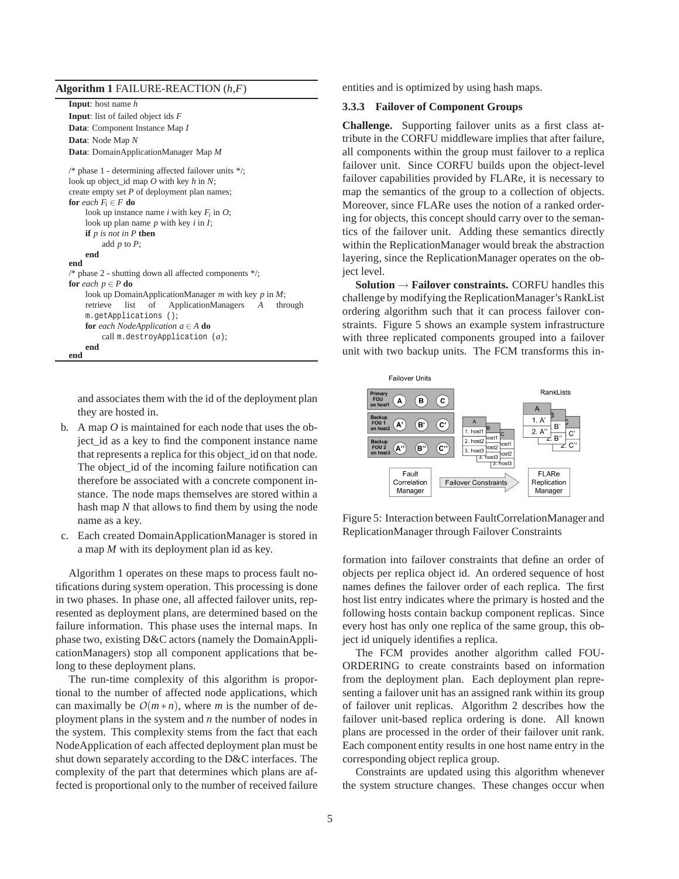### **Algorithm 1** FAILURE-REACTION (*h*,*F*)

```
Input: host name h
Input: list of failed object ids F
Data: Component Instance Map I
Data: Node Map N
Data: DomainApplicationManager Map M
/* phase 1 - determining affected failover units */;
look up object_id map O with key h in N;
create empty set P of deployment plan names;
for each F_i \in F do
     look up instance name i with key F_i in O;
    look up plan name p with key i in I;
    if p is not in P then
         add p to P;
    end
end
/* phase 2 - shutting down all affected components */;
for each p \in P do
    look up DomainApplicationManager m with key p in M;
    retrieve list of ApplicationManagers A through
    m.getApplications ();
    for each NodeApplication a \in A do
         call m.destroyApplication (a);
    end
end
```
and associates them with the id of the deployment plan they are hosted in.

- b. A map *O* is maintained for each node that uses the object id as a key to find the component instance name that represents a replica for this object\_id on that node. The object id of the incoming failure notification can therefore be associated with a concrete component instance. The node maps themselves are stored within a hash map *N* that allows to find them by using the node name as a key.
- c. Each created DomainApplicationManager is stored in a map *M* with its deployment plan id as key.

Algorithm 1 operates on these maps to process fault notifications during system operation. This processing is done in two phases. In phase one, all affected failover units, represented as deployment plans, are determined based on the failure information. This phase uses the internal maps. In phase two, existing D&C actors (namely the DomainApplicationManagers) stop all component applications that belong to these deployment plans.

The run-time complexity of this algorithm is proportional to the number of affected node applications, which can maximally be  $O(m*n)$ , where *m* is the number of deployment plans in the system and *n* the number of nodes in the system. This complexity stems from the fact that each NodeApplication of each affected deployment plan must be shut down separately according to the D&C interfaces. The complexity of the part that determines which plans are affected is proportional only to the number of received failure entities and is optimized by using hash maps.

#### **3.3.3 Failover of Component Groups**

**Challenge.** Supporting failover units as a first class attribute in the CORFU middleware implies that after failure, all components within the group must failover to a replica failover unit. Since CORFU builds upon the object-level failover capabilities provided by FLARe, it is necessary to map the semantics of the group to a collection of objects. Moreover, since FLARe uses the notion of a ranked ordering for objects, this concept should carry over to the semantics of the failover unit. Adding these semantics directly within the ReplicationManager would break the abstraction layering, since the ReplicationManager operates on the object level.

**Solution** → **Failover constraints.** CORFU handles this challenge by modifying the ReplicationManager's RankList ordering algorithm such that it can process failover constraints. Figure 5 shows an example system infrastructure with three replicated components grouped into a failover unit with two backup units. The FCM transforms this in-



Figure 5: Interaction between FaultCorrelationManager and ReplicationManager through Failover Constraints

formation into failover constraints that define an order of objects per replica object id. An ordered sequence of host names defines the failover order of each replica. The first host list entry indicates where the primary is hosted and the following hosts contain backup component replicas. Since every host has only one replica of the same group, this object id uniquely identifies a replica.

The FCM provides another algorithm called FOU-ORDERING to create constraints based on information from the deployment plan. Each deployment plan representing a failover unit has an assigned rank within its group of failover unit replicas. Algorithm 2 describes how the failover unit-based replica ordering is done. All known plans are processed in the order of their failover unit rank. Each component entity results in one host name entry in the corresponding object replica group.

Constraints are updated using this algorithm whenever the system structure changes. These changes occur when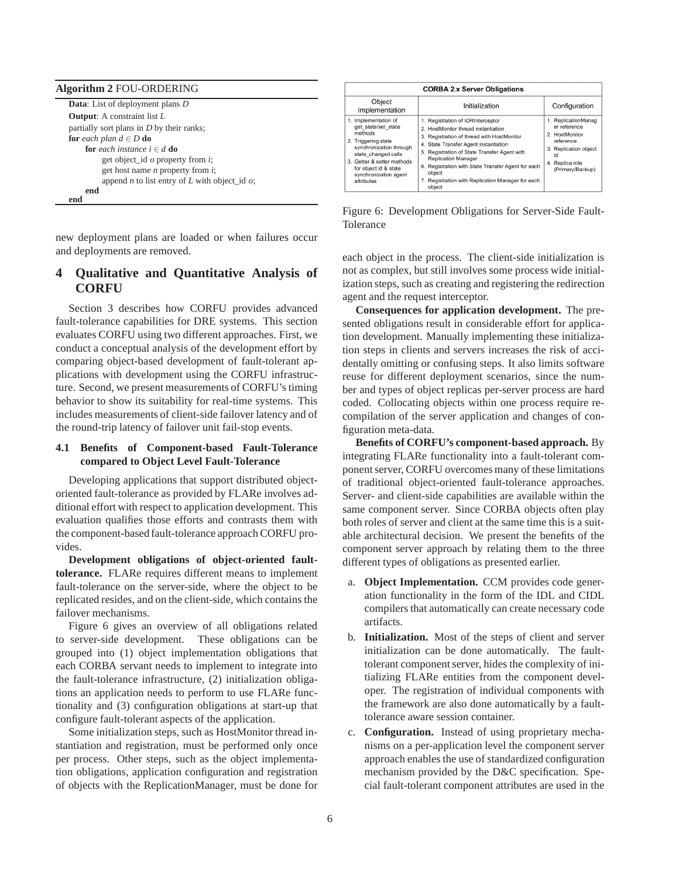| Algorithm 2 FOU-ORDERING                                                                                                                                                                                                                     |                                                                                                                                                |
|----------------------------------------------------------------------------------------------------------------------------------------------------------------------------------------------------------------------------------------------|------------------------------------------------------------------------------------------------------------------------------------------------|
| <b>Data:</b> List of deployment plans D                                                                                                                                                                                                      | Object<br>Implementat                                                                                                                          |
| <b>Output:</b> A constraint list $L$<br>partially sort plans in $D$ by their ranks;                                                                                                                                                          | 1. Implementation o<br>get state/set sta<br>methods                                                                                            |
| <b>for</b> each plan $d \in D$ <b>do</b><br><b>for</b> each instance $i \in d$ <b>do</b><br>get object id $o$ property from i;<br>get host name <i>n</i> property from $i$ ;<br>append <i>n</i> to list entry of L with object id $\alpha$ ; | 2. Triggering state<br>synchronization t<br>state changed ca<br>3. Getter & setter m<br>for object id & sta<br>synchronization a<br>attributes |
| end<br>end                                                                                                                                                                                                                                   |                                                                                                                                                |

new deployment plans are loaded or when failures occur and deployments are removed.

# **4 Qualitative and Quantitative Analysis of CORFU**

Section 3 describes how CORFU provides advanced fault-tolerance capabilities for DRE systems. This section evaluates CORFU using two different approaches. First, we conduct a conceptual analysis of the development effort by comparing object-based development of fault-tolerant applications with development using the CORFU infrastructure. Second, we present measurements of CORFU's timing behavior to show its suitability for real-time systems. This includes measurements of client-side failover latency and of the round-trip latency of failover unit fail-stop events.

# **4.1 Benefits of Component-based Fault-Tolerance compared to Object Level Fault-Tolerance**

Developing applications that support distributed objectoriented fault-tolerance as provided by FLARe involves additional effort with respect to application development. This evaluation qualifies those efforts and contrasts them with the component-based fault-tolerance approach CORFU provides.

**Development obligations of object-oriented faulttolerance.** FLARe requires different means to implement fault-tolerance on the server-side, where the object to be replicated resides, and on the client-side, which containsthe failover mechanisms.

Figure 6 gives an overview of all obligations related to server-side development. These obligations can be grouped into (1) object implementation obligations that each CORBA servant needs to implement to integrate into the fault-tolerance infrastructure, (2) initialization obligations an application needs to perform to use FLARe functionality and (3) configuration obligations at start-up that configure fault-tolerant aspects of the application.

Some initialization steps, such as HostMonitor thread instantiation and registration, must be performed only once per process. Other steps, such as the object implementation obligations, application configuration and registration of objects with the ReplicationManager, must be done for

| <b>CORBA 2.x Server Obligations</b>                                                                                                                                                                                           |                                                                                                                                                                                                                                                                                                                                                                              |                                                                                                                                          |  |  |  |  |
|-------------------------------------------------------------------------------------------------------------------------------------------------------------------------------------------------------------------------------|------------------------------------------------------------------------------------------------------------------------------------------------------------------------------------------------------------------------------------------------------------------------------------------------------------------------------------------------------------------------------|------------------------------------------------------------------------------------------------------------------------------------------|--|--|--|--|
| Object<br>Implementation                                                                                                                                                                                                      | Initialization                                                                                                                                                                                                                                                                                                                                                               | Configuration                                                                                                                            |  |  |  |  |
| 1. Implementation of<br>get state/set state<br>methods<br>2. Triggering state<br>synchronization through<br>state changed calls<br>3. Getter & setter methods<br>for object id & state<br>synchronization agent<br>attributes | 1. Registration of IORInterceptor<br>2. HostMonitor thread instantiation<br>3. Registration of thread with HostMonitor<br>4. State Transfer Agent instantiation<br>5. Registration of State Transfer Agent with<br><b>Replication Manager</b><br>6. Registration with State Transfer Agent for each<br>object<br>7. Registration with Replication Manager for each<br>object | 1. ReplicationManag<br>er reference<br>2. HostMonitor<br>reference<br>3. Replication object<br>id<br>4. Replica role<br>(Primary/Backup) |  |  |  |  |

Figure 6: Development Obligations for Server-Side Fault-Tolerance

each object in the process. The client-side initialization is not as complex, but still involves some process wide initialization steps, such as creating and registering the redirection agent and the request interceptor.

**Consequences for application development.** The presented obligations result in considerable effort for application development. Manually implementing these initialization steps in clients and servers increases the risk of accidentally omitting or confusing steps. It also limits software reuse for different deployment scenarios, since the number and types of object replicas per-server process are hard coded. Collocating objects within one process require recompilation of the server application and changes of configuration meta-data.

**Benefits of CORFU's component-based approach.** By integrating FLARe functionality into a fault-tolerant component server, CORFU overcomes many of these limitations of traditional object-oriented fault-tolerance approaches. Server- and client-side capabilities are available within the same component server. Since CORBA objects often play both roles of server and client at the same time this is a suitable architectural decision. We present the benefits of the component server approach by relating them to the three different types of obligations as presented earlier.

- a. **Object Implementation.** CCM provides code generation functionality in the form of the IDL and CIDL compilers that automatically can create necessary code artifacts.
- b. **Initialization.** Most of the steps of client and server initialization can be done automatically. The faulttolerant component server, hides the complexity of initializing FLARe entities from the component developer. The registration of individual components with the framework are also done automatically by a faulttolerance aware session container.
- c. **Configuration.** Instead of using proprietary mechanisms on a per-application level the component server approach enables the use of standardized configuration mechanism provided by the D&C specification. Special fault-tolerant component attributes are used in the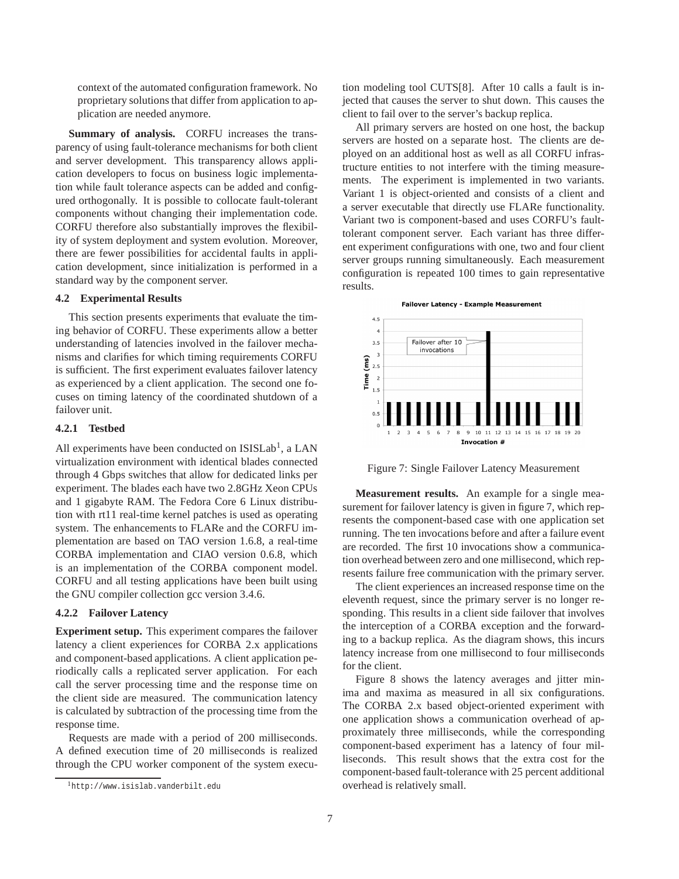context of the automated configuration framework. No proprietary solutions that differ from application to application are needed anymore.

**Summary of analysis.** CORFU increases the transparency of using fault-tolerance mechanisms for both client and server development. This transparency allows application developers to focus on business logic implementation while fault tolerance aspects can be added and configured orthogonally. It is possible to collocate fault-tolerant components without changing their implementation code. CORFU therefore also substantially improves the flexibility of system deployment and system evolution. Moreover, there are fewer possibilities for accidental faults in application development, since initialization is performed in a standard way by the component server.

### **4.2 Experimental Results**

This section presents experiments that evaluate the timing behavior of CORFU. These experiments allow a better understanding of latencies involved in the failover mechanisms and clarifies for which timing requirements CORFU is sufficient. The first experiment evaluates failover latency as experienced by a client application. The second one focuses on timing latency of the coordinated shutdown of a failover unit.

## **4.2.1 Testbed**

All experiments have been conducted on ISISLab<sup>1</sup>, a LAN virtualization environment with identical blades connected through 4 Gbps switches that allow for dedicated links per experiment. The blades each have two 2.8GHz Xeon CPUs and 1 gigabyte RAM. The Fedora Core 6 Linux distribution with rt11 real-time kernel patches is used as operating system. The enhancements to FLARe and the CORFU implementation are based on TAO version 1.6.8, a real-time CORBA implementation and CIAO version 0.6.8, which is an implementation of the CORBA component model. CORFU and all testing applications have been built using the GNU compiler collection gcc version 3.4.6.

#### **4.2.2 Failover Latency**

**Experiment setup.** This experiment compares the failover latency a client experiences for CORBA 2.x applications and component-based applications. A client application periodically calls a replicated server application. For each call the server processing time and the response time on the client side are measured. The communication latency is calculated by subtraction of the processing time from the response time.

Requests are made with a period of 200 milliseconds. A defined execution time of 20 milliseconds is realized through the CPU worker component of the system execution modeling tool CUTS[8]. After 10 calls a fault is injected that causes the server to shut down. This causes the client to fail over to the server's backup replica.

All primary servers are hosted on one host, the backup servers are hosted on a separate host. The clients are deployed on an additional host as well as all CORFU infrastructure entities to not interfere with the timing measurements. The experiment is implemented in two variants. Variant 1 is object-oriented and consists of a client and a server executable that directly use FLARe functionality. Variant two is component-based and uses CORFU's faulttolerant component server. Each variant has three different experiment configurations with one, two and four client server groups running simultaneously. Each measurement configuration is repeated 100 times to gain representative results.



Figure 7: Single Failover Latency Measurement

**Measurement results.** An example for a single measurement for failover latency is given in figure 7, which represents the component-based case with one application set running. The ten invocations before and after a failure event are recorded. The first 10 invocations show a communication overhead between zero and one millisecond, which represents failure free communication with the primary server.

The client experiences an increased response time on the eleventh request, since the primary server is no longer responding. This results in a client side failover that involves the interception of a CORBA exception and the forwarding to a backup replica. As the diagram shows, this incurs latency increase from one millisecond to four milliseconds for the client.

Figure 8 shows the latency averages and jitter minima and maxima as measured in all six configurations. The CORBA 2.x based object-oriented experiment with one application shows a communication overhead of approximately three milliseconds, while the corresponding component-based experiment has a latency of four milliseconds. This result shows that the extra cost for the component-based fault-tolerance with 25 percent additional overhead is relatively small.

<sup>1</sup>http://www.isislab.vanderbilt.edu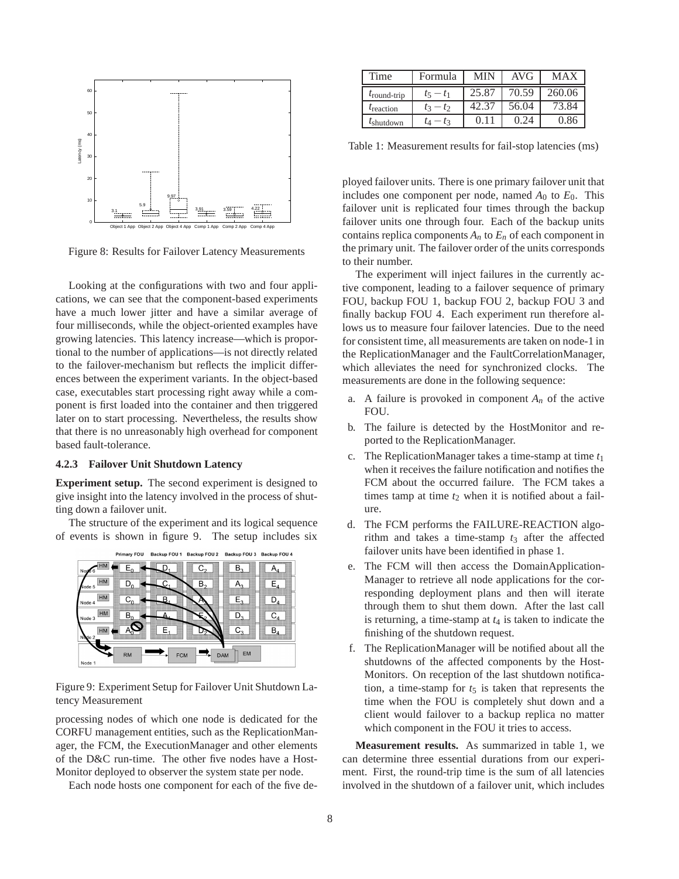

Figure 8: Results for Failover Latency Measurements

Looking at the configurations with two and four applications, we can see that the component-based experiments have a much lower jitter and have a similar average of four milliseconds, while the object-oriented examples have growing latencies. This latency increase—which is proportional to the number of applications—is not directly related to the failover-mechanism but reflects the implicit differences between the experiment variants. In the object-based case, executables start processing right away while a component is first loaded into the container and then triggered later on to start processing. Nevertheless, the results show that there is no unreasonably high overhead for component based fault-tolerance.

#### **4.2.3 Failover Unit Shutdown Latency**

**Experiment setup.** The second experiment is designed to give insight into the latency involved in the process of shutting down a failover unit.

The structure of the experiment and its logical sequence of events is shown in figure 9. The setup includes six



Figure 9: Experiment Setup for Failover Unit Shutdown Latency Measurement

processing nodes of which one node is dedicated for the CORFU management entities, such as the ReplicationManager, the FCM, the ExecutionManager and other elements of the D&C run-time. The other five nodes have a Host-Monitor deployed to observer the system state per node.

Each node hosts one component for each of the five de-

| Time                    | Formula     | MIN   | <b>AVG</b> | MAX    |
|-------------------------|-------------|-------|------------|--------|
| $t_{\text{round-trip}}$ | $t_5 - t_1$ | 25.87 | 70.59      | 260.06 |
| $t_{\rm reaction}$      | $t_3 - t_2$ |       | 56.04      | 73.84  |
| $t_{\text{shutdown}}$   | $t_3$       | 11 ב  | በ 24       | በ ጸ6   |

Table 1: Measurement results for fail-stop latencies (ms)

ployed failover units. There is one primary failover unit that includes one component per node, named  $A_0$  to  $E_0$ . This failover unit is replicated four times through the backup failover units one through four. Each of the backup units contains replica components  $A_n$  to  $E_n$  of each component in the primary unit. The failover order of the units corresponds to their number.

The experiment will inject failures in the currently active component, leading to a failover sequence of primary FOU, backup FOU 1, backup FOU 2, backup FOU 3 and finally backup FOU 4. Each experiment run therefore allows us to measure four failover latencies. Due to the need for consistent time, all measurements are taken on node-1 in the ReplicationManager and the FaultCorrelationManager, which alleviates the need for synchronized clocks. The measurements are done in the following sequence:

- a. A failure is provoked in component  $A_n$  of the active FOU.
- b. The failure is detected by the HostMonitor and reported to the ReplicationManager.
- c. The ReplicationManager takes a time-stamp at time *t*<sup>1</sup> when it receives the failure notification and notifies the FCM about the occurred failure. The FCM takes a times tamp at time  $t_2$  when it is notified about a failure.
- d. The FCM performs the FAILURE-REACTION algorithm and takes a time-stamp  $t_3$  after the affected failover units have been identified in phase 1.
- e. The FCM will then access the DomainApplication-Manager to retrieve all node applications for the corresponding deployment plans and then will iterate through them to shut them down. After the last call is returning, a time-stamp at *t*<sup>4</sup> is taken to indicate the finishing of the shutdown request.
- f. The ReplicationManager will be notified about all the shutdowns of the affected components by the Host-Monitors. On reception of the last shutdown notification, a time-stamp for  $t_5$  is taken that represents the time when the FOU is completely shut down and a client would failover to a backup replica no matter which component in the FOU it tries to access.

**Measurement results.** As summarized in table 1, we can determine three essential durations from our experiment. First, the round-trip time is the sum of all latencies involved in the shutdown of a failover unit, which includes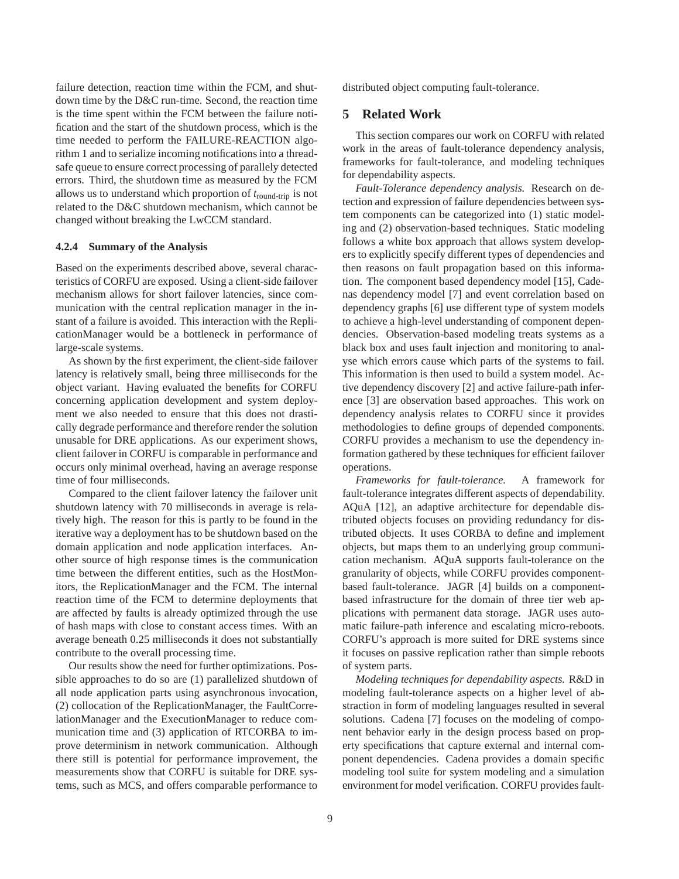failure detection, reaction time within the FCM, and shutdown time by the D&C run-time. Second, the reaction time is the time spent within the FCM between the failure notification and the start of the shutdown process, which is the time needed to perform the FAILURE-REACTION algorithm 1 and to serialize incoming notifications into a threadsafe queue to ensure correct processing of parallely detected errors. Third, the shutdown time as measured by the FCM allows us to understand which proportion of *t*round-trip is not related to the D&C shutdown mechanism, which cannot be changed without breaking the LwCCM standard.

#### **4.2.4 Summary of the Analysis**

Based on the experiments described above, several characteristics of CORFU are exposed. Using a client-side failover mechanism allows for short failover latencies, since communication with the central replication manager in the instant of a failure is avoided. This interaction with the ReplicationManager would be a bottleneck in performance of large-scale systems.

As shown by the first experiment, the client-side failover latency is relatively small, being three milliseconds for the object variant. Having evaluated the benefits for CORFU concerning application development and system deployment we also needed to ensure that this does not drastically degrade performance and therefore render the solution unusable for DRE applications. As our experiment shows, client failover in CORFU is comparable in performance and occurs only minimal overhead, having an average response time of four milliseconds.

Compared to the client failover latency the failover unit shutdown latency with 70 milliseconds in average is relatively high. The reason for this is partly to be found in the iterative way a deployment has to be shutdown based on the domain application and node application interfaces. Another source of high response times is the communication time between the different entities, such as the HostMonitors, the ReplicationManager and the FCM. The internal reaction time of the FCM to determine deployments that are affected by faults is already optimized through the use of hash maps with close to constant access times. With an average beneath 0.25 milliseconds it does not substantially contribute to the overall processing time.

Our results show the need for further optimizations. Possible approaches to do so are (1) parallelized shutdown of all node application parts using asynchronous invocation, (2) collocation of the ReplicationManager, the FaultCorrelationManager and the ExecutionManager to reduce communication time and (3) application of RTCORBA to improve determinism in network communication. Although there still is potential for performance improvement, the measurements show that CORFU is suitable for DRE systems, such as MCS, and offers comparable performance to distributed object computing fault-tolerance.

### **5 Related Work**

This section compares our work on CORFU with related work in the areas of fault-tolerance dependency analysis, frameworks for fault-tolerance, and modeling techniques for dependability aspects.

*Fault-Tolerance dependency analysis.* Research on detection and expression of failure dependencies between system components can be categorized into (1) static modeling and (2) observation-based techniques. Static modeling follows a white box approach that allows system developers to explicitly specify different types of dependencies and then reasons on fault propagation based on this information. The component based dependency model [15], Cadenas dependency model [7] and event correlation based on dependency graphs [6] use different type of system models to achieve a high-level understanding of component dependencies. Observation-based modeling treats systems as a black box and uses fault injection and monitoring to analyse which errors cause which parts of the systems to fail. This information is then used to build a system model. Active dependency discovery [2] and active failure-path inference [3] are observation based approaches. This work on dependency analysis relates to CORFU since it provides methodologies to define groups of depended components. CORFU provides a mechanism to use the dependency information gathered by these techniques for efficient failover operations.

*Frameworks for fault-tolerance.* A framework for fault-tolerance integrates different aspects of dependability. AQuA [12], an adaptive architecture for dependable distributed objects focuses on providing redundancy for distributed objects. It uses CORBA to define and implement objects, but maps them to an underlying group communication mechanism. AQuA supports fault-tolerance on the granularity of objects, while CORFU provides componentbased fault-tolerance. JAGR [4] builds on a componentbased infrastructure for the domain of three tier web applications with permanent data storage. JAGR uses automatic failure-path inference and escalating micro-reboots. CORFU's approach is more suited for DRE systems since it focuses on passive replication rather than simple reboots of system parts.

*Modeling techniques for dependability aspects.* R&D in modeling fault-tolerance aspects on a higher level of abstraction in form of modeling languages resulted in several solutions. Cadena [7] focuses on the modeling of component behavior early in the design process based on property specifications that capture external and internal component dependencies. Cadena provides a domain specific modeling tool suite for system modeling and a simulation environment for model verification. CORFU provides fault